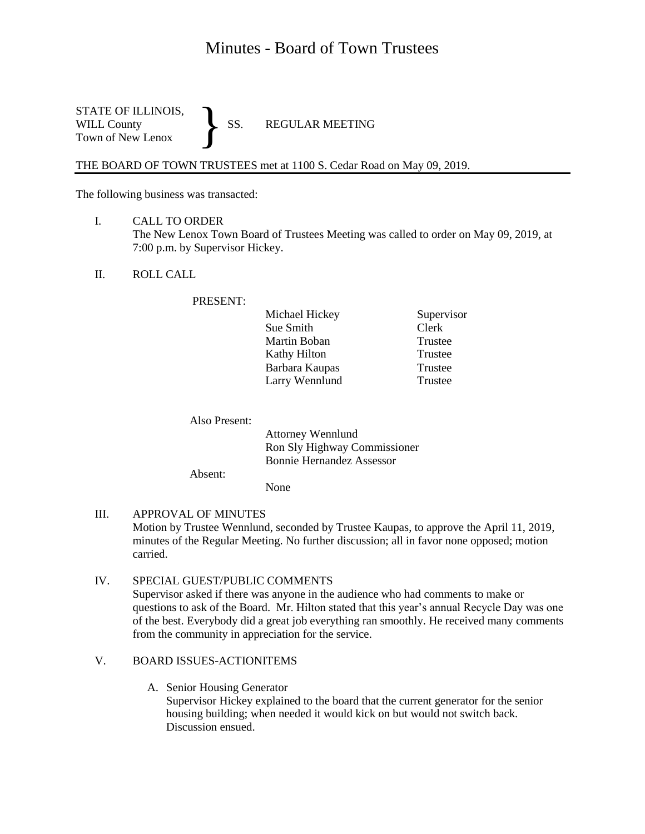# Minutes - Board of Town Trustees

STATE OF ILLINOIS,<br>WILL County SS. WILL County SS. REGULAR MEETING Town of New Lenox }

THE BOARD OF TOWN TRUSTEES met at 1100 S. Cedar Road on May 09, 2019.

The following business was transacted:

- I. CALL TO ORDER The New Lenox Town Board of Trustees Meeting was called to order on May 09, 2019, at 7:00 p.m. by Supervisor Hickey.
- II. ROLL CALL

#### PRESENT:

| Michael Hickey | Supervisor |
|----------------|------------|
| Sue Smith      | Clerk      |
| Martin Boban   | Trustee    |
| Kathy Hilton   | Trustee    |
| Barbara Kaupas | Trustee    |
| Larry Wennlund | Trustee    |

Also Present:

Attorney Wennlund Ron Sly Highway Commissioner Bonnie Hernandez Assessor

Absent:

None

- III. APPROVAL OF MINUTES Motion by Trustee Wennlund, seconded by Trustee Kaupas, to approve the April 11, 2019, minutes of the Regular Meeting. No further discussion; all in favor none opposed; motion carried.
- IV. SPECIAL GUEST/PUBLIC COMMENTS Supervisor asked if there was anyone in the audience who had comments to make or questions to ask of the Board. Mr. Hilton stated that this year's annual Recycle Day was one of the best. Everybody did a great job everything ran smoothly. He received many comments from the community in appreciation for the service.

## V. BOARD ISSUES-ACTIONITEMS

A. Senior Housing Generator

Supervisor Hickey explained to the board that the current generator for the senior housing building; when needed it would kick on but would not switch back. Discussion ensued.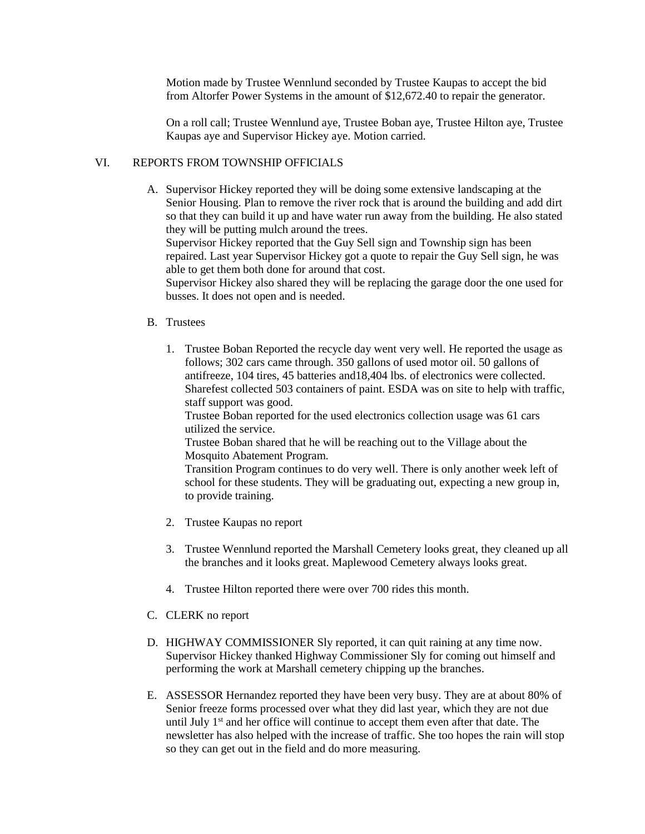Motion made by Trustee Wennlund seconded by Trustee Kaupas to accept the bid from Altorfer Power Systems in the amount of \$12,672.40 to repair the generator.

On a roll call; Trustee Wennlund aye, Trustee Boban aye, Trustee Hilton aye, Trustee Kaupas aye and Supervisor Hickey aye. Motion carried.

#### VI. REPORTS FROM TOWNSHIP OFFICIALS

A. Supervisor Hickey reported they will be doing some extensive landscaping at the Senior Housing. Plan to remove the river rock that is around the building and add dirt so that they can build it up and have water run away from the building. He also stated they will be putting mulch around the trees.

Supervisor Hickey reported that the Guy Sell sign and Township sign has been repaired. Last year Supervisor Hickey got a quote to repair the Guy Sell sign, he was able to get them both done for around that cost.

Supervisor Hickey also shared they will be replacing the garage door the one used for busses. It does not open and is needed.

- B. Trustees
	- 1. Trustee Boban Reported the recycle day went very well. He reported the usage as follows; 302 cars came through. 350 gallons of used motor oil. 50 gallons of antifreeze, 104 tires, 45 batteries and18,404 lbs. of electronics were collected. Sharefest collected 503 containers of paint. ESDA was on site to help with traffic, staff support was good.

Trustee Boban reported for the used electronics collection usage was 61 cars utilized the service.

Trustee Boban shared that he will be reaching out to the Village about the Mosquito Abatement Program.

Transition Program continues to do very well. There is only another week left of school for these students. They will be graduating out, expecting a new group in, to provide training.

- 2. Trustee Kaupas no report
- 3. Trustee Wennlund reported the Marshall Cemetery looks great, they cleaned up all the branches and it looks great. Maplewood Cemetery always looks great.
- 4. Trustee Hilton reported there were over 700 rides this month.
- C. CLERK no report
- D. HIGHWAY COMMISSIONER Sly reported, it can quit raining at any time now. Supervisor Hickey thanked Highway Commissioner Sly for coming out himself and performing the work at Marshall cemetery chipping up the branches.
- E. ASSESSOR Hernandez reported they have been very busy. They are at about 80% of Senior freeze forms processed over what they did last year, which they are not due until July  $1<sup>st</sup>$  and her office will continue to accept them even after that date. The newsletter has also helped with the increase of traffic. She too hopes the rain will stop so they can get out in the field and do more measuring.